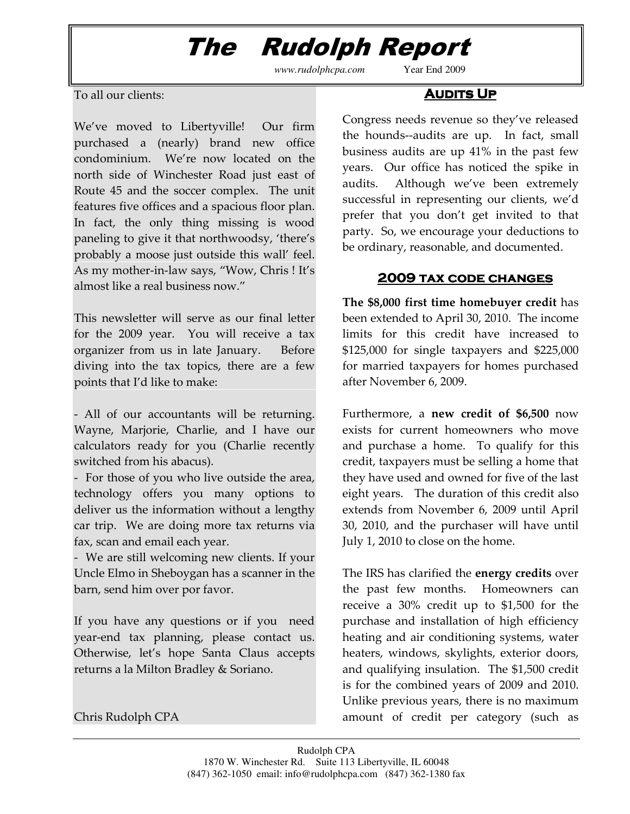## The Rudolph Report

*www.rudolphcpa.com* Year End 2009

#### To all our clients:

We've moved to Libertyville! Our firm purchased a (nearly) brand new office condominium. We're now located on the north side of Winchester Road just east of Route 45 and the soccer complex. The unit features five offices and a spacious floor plan. In fact, the only thing missing is wood paneling to give it that northwoodsy, 'there's probably a moose just outside this wall' feel. As my mother-in-law says, "Wow, Chris ! It's almost like a real business now."

This newsletter will serve as our final letter for the 2009 year. You will receive a tax organizer from us in late January. Before diving into the tax topics, there are a few points that I'd like to make:

- All of our accountants will be returning. Wayne, Marjorie, Charlie, and I have our calculators ready for you (Charlie recently switched from his abacus).

- For those of you who live outside the area, technology offers you many options to deliver us the information without a lengthy car trip. We are doing more tax returns via fax, scan and email each year.

- We are still welcoming new clients. If your Uncle Elmo in Sheboygan has a scanner in the barn, send him over por favor.

If you have any questions or if you need year-end tax planning, please contact us. Otherwise, let's hope Santa Claus accepts returns a la Milton Bradley & Soriano.

Chris Rudolph CPA

#### **AUDITS UP**

Congress needs revenue so they've released the hounds--audits are up. In fact, small business audits are up 41% in the past few years. Our office has noticed the spike in audits. Although we've been extremely successful in representing our clients, we'd prefer that you don't get invited to that party. So, we encourage your deductions to be ordinary, reasonable, and documented.

#### 2009 tax code changes 2009 tax code changes

The \$8,000 first time homebuyer credit has been extended to April 30, 2010. The income limits for this credit have increased to \$125,000 for single taxpayers and \$225,000 for married taxpayers for homes purchased after November 6, 2009.

Furthermore, a new credit of \$6,500 now exists for current homeowners who move and purchase a home. To qualify for this credit, taxpayers must be selling a home that they have used and owned for five of the last eight years. The duration of this credit also extends from November 6, 2009 until April 30, 2010, and the purchaser will have until July 1, 2010 to close on the home.

The IRS has clarified the **energy credits** over the past few months. Homeowners can receive a 30% credit up to \$1,500 for the purchase and installation of high efficiency heating and air conditioning systems, water heaters, windows, skylights, exterior doors, and qualifying insulation. The \$1,500 credit is for the combined years of 2009 and 2010. Unlike previous years, there is no maximum amount of credit per category (such as